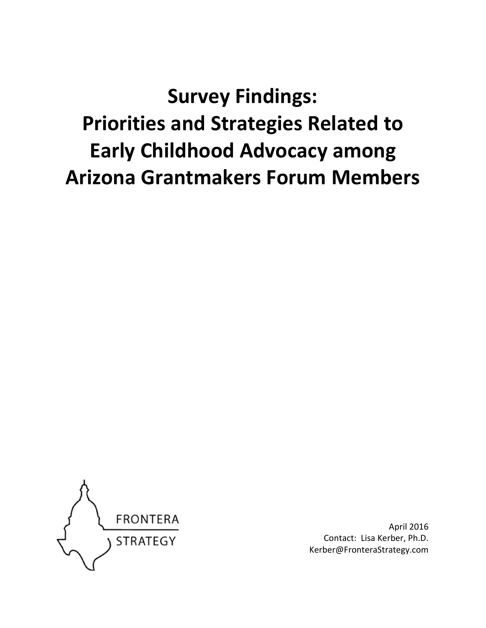**Survey Findings: Priorities and Strategies Related to Early Childhood Advocacy among Arizona Grantmakers Forum Members** 



April 2016 Contact: Lisa Kerber, Ph.D. Kerber@FronteraStrategy.com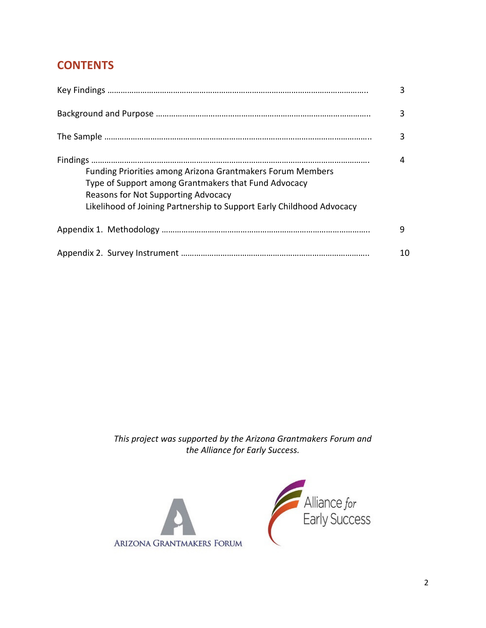# **CONTENTS**

|                                                                                                                                                                                                                                           | 3  |
|-------------------------------------------------------------------------------------------------------------------------------------------------------------------------------------------------------------------------------------------|----|
|                                                                                                                                                                                                                                           | 3  |
|                                                                                                                                                                                                                                           | 3  |
| <b>Funding Priorities among Arizona Grantmakers Forum Members</b><br>Type of Support among Grantmakers that Fund Advocacy<br>Reasons for Not Supporting Advocacy<br>Likelihood of Joining Partnership to Support Early Childhood Advocacy |    |
|                                                                                                                                                                                                                                           | 9  |
|                                                                                                                                                                                                                                           | 10 |

*This project was supported by the Arizona Grantmakers Forum and the Alliance for Early Success.* 



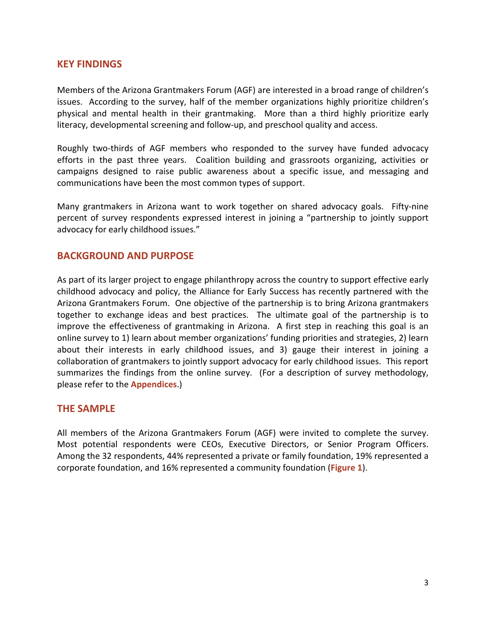## **KEY FINDINGS**

Members of the Arizona Grantmakers Forum (AGF) are interested in a broad range of children's issues. According to the survey, half of the member organizations highly prioritize children's physical and mental health in their grantmaking. More than a third highly prioritize early literacy, developmental screening and follow-up, and preschool quality and access.

Roughly two-thirds of AGF members who responded to the survey have funded advocacy efforts in the past three years. Coalition building and grassroots organizing, activities or campaigns designed to raise public awareness about a specific issue, and messaging and communications have been the most common types of support.

Many grantmakers in Arizona want to work together on shared advocacy goals. Fifty-nine percent of survey respondents expressed interest in joining a "partnership to jointly support advocacy for early childhood issues."

## **BACKGROUND AND PURPOSE**

As part of its larger project to engage philanthropy across the country to support effective early childhood advocacy and policy, the Alliance for Early Success has recently partnered with the Arizona Grantmakers Forum. One objective of the partnership is to bring Arizona grantmakers together to exchange ideas and best practices. The ultimate goal of the partnership is to improve the effectiveness of grantmaking in Arizona. A first step in reaching this goal is an online survey to 1) learn about member organizations' funding priorities and strategies, 2) learn about their interests in early childhood issues, and 3) gauge their interest in joining a collaboration of grantmakers to jointly support advocacy for early childhood issues. This report summarizes the findings from the online survey. (For a description of survey methodology, please refer to the **Appendices**.)

## **THE SAMPLE**

All members of the Arizona Grantmakers Forum (AGF) were invited to complete the survey. Most potential respondents were CEOs, Executive Directors, or Senior Program Officers. Among the 32 respondents, 44% represented a private or family foundation, 19% represented a corporate foundation, and 16% represented a community foundation (**Figure 1**).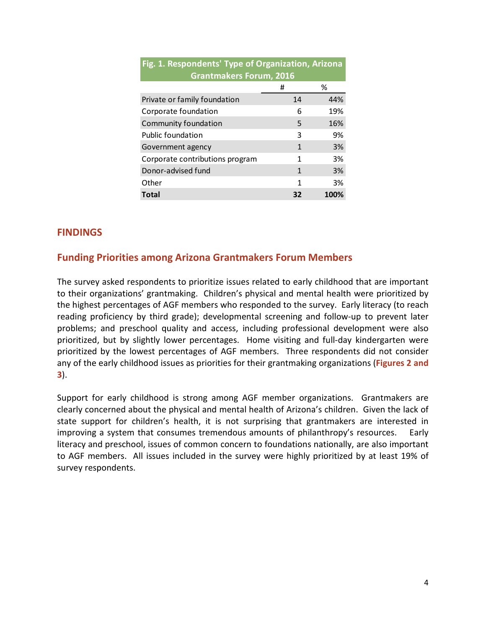| Fig. 1. Respondents' Type of Organization, Arizona |    |      |  |
|----------------------------------------------------|----|------|--|
| <b>Grantmakers Forum, 2016</b>                     |    |      |  |
|                                                    | #  | ℅    |  |
| Private or family foundation                       | 14 | 44%  |  |
| Corporate foundation                               | 6  | 19%  |  |
| Community foundation                               | 5  | 16%  |  |
| <b>Public foundation</b>                           | 3  | 9%   |  |
| Government agency                                  | 1  | 3%   |  |
| Corporate contributions program                    | 1  | 3%   |  |
| Donor-advised fund                                 | 1  | 3%   |  |
| Other                                              | 1  | 3%   |  |
| Total                                              | 32 | 100% |  |

## **FINDINGS**

## **Funding Priorities among Arizona Grantmakers Forum Members**

The survey asked respondents to prioritize issues related to early childhood that are important to their organizations' grantmaking. Children's physical and mental health were prioritized by the highest percentages of AGF members who responded to the survey. Early literacy (to reach reading proficiency by third grade); developmental screening and follow-up to prevent later problems; and preschool quality and access, including professional development were also prioritized, but by slightly lower percentages. Home visiting and full-day kindergarten were prioritized by the lowest percentages of AGF members. Three respondents did not consider any of the early childhood issues as priorities for their grantmaking organizations (**Figures 2 and 3**).

Support for early childhood is strong among AGF member organizations. Grantmakers are clearly concerned about the physical and mental health of Arizona's children. Given the lack of state support for children's health, it is not surprising that grantmakers are interested in improving a system that consumes tremendous amounts of philanthropy's resources. Early literacy and preschool, issues of common concern to foundations nationally, are also important to AGF members. All issues included in the survey were highly prioritized by at least 19% of survey respondents.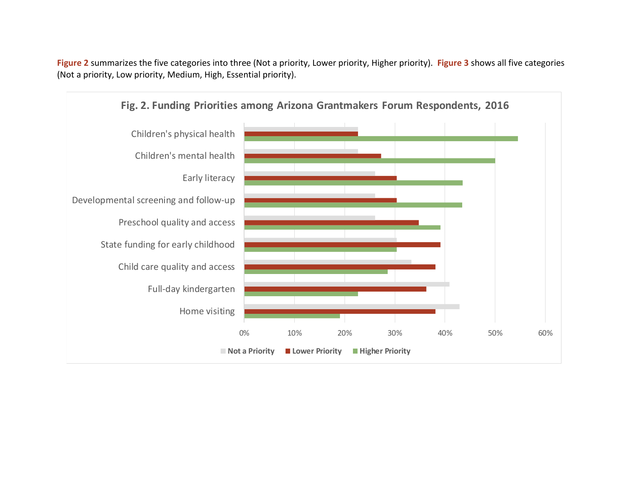**Figure 2** summarizes the five categories into three (Not a priority, Lower priority, Higher priority). **Figure 3** shows all five categories (Not a priority, Low priority, Medium, High, Essential priority).

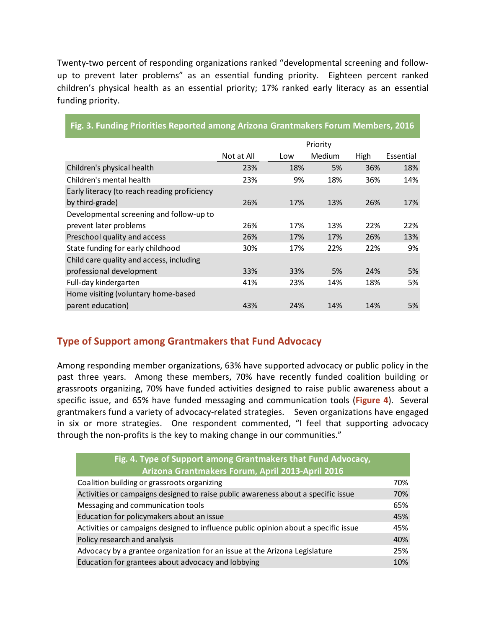Twenty-two percent of responding organizations ranked "developmental screening and followup to prevent later problems" as an essential funding priority. Eighteen percent ranked children's physical health as an essential priority; 17% ranked early literacy as an essential funding priority.

|                                              |            |     | Priority |      |           |
|----------------------------------------------|------------|-----|----------|------|-----------|
|                                              | Not at All | Low | Medium   | High | Essential |
| Children's physical health                   | 23%        | 18% | 5%       | 36%  | 18%       |
| Children's mental health                     | 23%        | 9%  | 18%      | 36%  | 14%       |
| Early literacy (to reach reading proficiency |            |     |          |      |           |
| by third-grade)                              | 26%        | 17% | 13%      | 26%  | 17%       |
| Developmental screening and follow-up to     |            |     |          |      |           |
| prevent later problems                       | 26%        | 17% | 13%      | 22%  | 22%       |
| Preschool quality and access                 | 26%        | 17% | 17%      | 26%  | 13%       |
| State funding for early childhood            | 30%        | 17% | 22%      | 22%  | 9%        |
| Child care quality and access, including     |            |     |          |      |           |
| professional development                     | 33%        | 33% | 5%       | 24%  | 5%        |
| Full-day kindergarten                        | 41%        | 23% | 14%      | 18%  | 5%        |
| Home visiting (voluntary home-based          |            |     |          |      |           |
| parent education)                            | 43%        | 24% | 14%      | 14%  | 5%        |

## **Fig. 3. Funding Priorities Reported among Arizona Grantmakers Forum Members, 2016**

## **Type of Support among Grantmakers that Fund Advocacy**

Among responding member organizations, 63% have supported advocacy or public policy in the past three years. Among these members, 70% have recently funded coalition building or grassroots organizing, 70% have funded activities designed to raise public awareness about a specific issue, and 65% have funded messaging and communication tools (**Figure 4**). Several grantmakers fund a variety of advocacy-related strategies. Seven organizations have engaged in six or more strategies. One respondent commented, "I feel that supporting advocacy through the non-profits is the key to making change in our communities."

| Fig. 4. Type of Support among Grantmakers that Fund Advocacy,                       |     |
|-------------------------------------------------------------------------------------|-----|
| Arizona Grantmakers Forum, April 2013-April 2016                                    |     |
| Coalition building or grassroots organizing                                         | 70% |
| Activities or campaigns designed to raise public awareness about a specific issue   | 70% |
| Messaging and communication tools                                                   | 65% |
| Education for policymakers about an issue                                           | 45% |
| Activities or campaigns designed to influence public opinion about a specific issue | 45% |
| Policy research and analysis                                                        | 40% |
| Advocacy by a grantee organization for an issue at the Arizona Legislature          | 25% |
| Education for grantees about advocacy and lobbying                                  | 10% |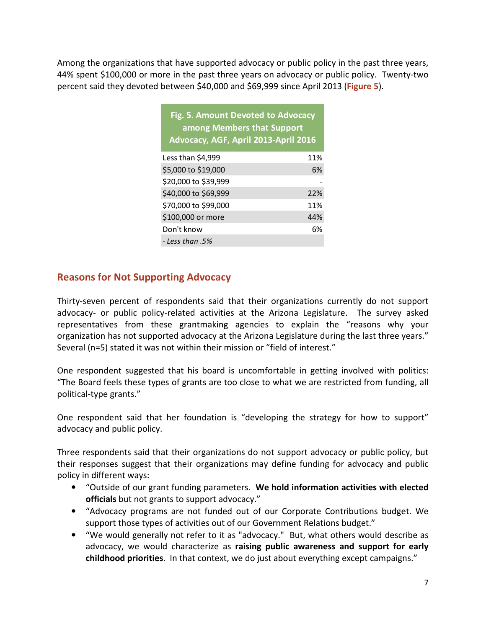Among the organizations that have supported advocacy or public policy in the past three years, 44% spent \$100,000 or more in the past three years on advocacy or public policy. Twenty-two percent said they devoted between \$40,000 and \$69,999 since April 2013 (**Figure 5**).

| Fig. 5. Amount Devoted to Advocacy   |
|--------------------------------------|
| among Members that Support           |
| Advocacy, AGF, April 2013-April 2016 |
|                                      |

| Less than \$4,999    | 11% |
|----------------------|-----|
| \$5,000 to \$19,000  | 6%  |
| \$20,000 to \$39,999 |     |
| \$40,000 to \$69,999 | 22% |
| \$70,000 to \$99,000 | 11% |
| \$100,000 or more    | 44% |
| Don't know           | 6%  |
| - Less than .5%      |     |

## **Reasons for Not Supporting Advocacy**

Thirty-seven percent of respondents said that their organizations currently do not support advocacy- or public policy-related activities at the Arizona Legislature. The survey asked representatives from these grantmaking agencies to explain the "reasons why your organization has not supported advocacy at the Arizona Legislature during the last three years." Several (n=5) stated it was not within their mission or "field of interest."

One respondent suggested that his board is uncomfortable in getting involved with politics: "The Board feels these types of grants are too close to what we are restricted from funding, all political-type grants."

One respondent said that her foundation is "developing the strategy for how to support" advocacy and public policy.

Three respondents said that their organizations do not support advocacy or public policy, but their responses suggest that their organizations may define funding for advocacy and public policy in different ways:

- "Outside of our grant funding parameters. **We hold information activities with elected officials** but not grants to support advocacy."
- "Advocacy programs are not funded out of our Corporate Contributions budget. We support those types of activities out of our Government Relations budget."
- "We would generally not refer to it as "advocacy." But, what others would describe as advocacy, we would characterize as **raising public awareness and support for early childhood priorities**. In that context, we do just about everything except campaigns."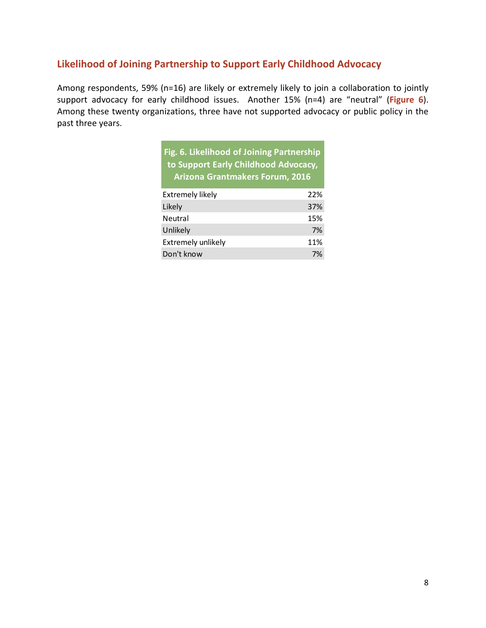## **Likelihood of Joining Partnership to Support Early Childhood Advocacy**

Among respondents, 59% (n=16) are likely or extremely likely to join a collaboration to jointly support advocacy for early childhood issues. Another 15% (n=4) are "neutral" (**Figure 6**). Among these twenty organizations, three have not supported advocacy or public policy in the past three years.

| Fig. 6. Likelihood of Joining Partnership<br>to Support Early Childhood Advocacy,<br>Arizona Grantmakers Forum, 2016 |     |
|----------------------------------------------------------------------------------------------------------------------|-----|
| <b>Extremely likely</b>                                                                                              | 22% |
| Likely                                                                                                               | 37% |
| Neutral                                                                                                              | 15% |
| Unlikely                                                                                                             | 7%  |
| Extremely unlikely                                                                                                   | 11% |
| Don't know                                                                                                           | 7%  |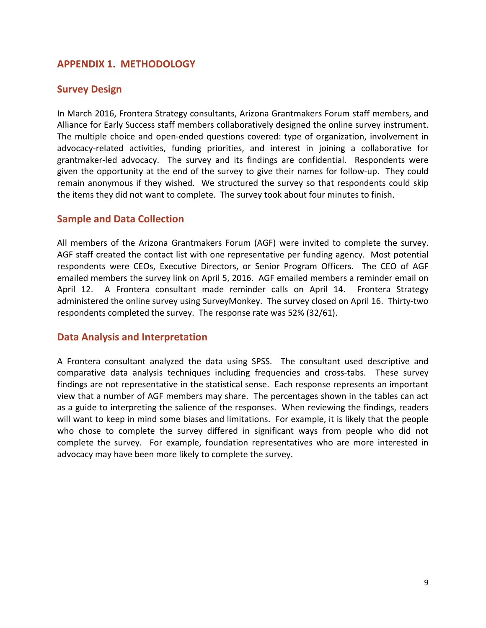## **APPENDIX 1. METHODOLOGY**

## **Survey Design**

In March 2016, Frontera Strategy consultants, Arizona Grantmakers Forum staff members, and Alliance for Early Success staff members collaboratively designed the online survey instrument. The multiple choice and open-ended questions covered: type of organization, involvement in advocacy-related activities, funding priorities, and interest in joining a collaborative for grantmaker-led advocacy. The survey and its findings are confidential. Respondents were given the opportunity at the end of the survey to give their names for follow-up. They could remain anonymous if they wished. We structured the survey so that respondents could skip the items they did not want to complete. The survey took about four minutes to finish.

## **Sample and Data Collection**

All members of the Arizona Grantmakers Forum (AGF) were invited to complete the survey. AGF staff created the contact list with one representative per funding agency. Most potential respondents were CEOs, Executive Directors, or Senior Program Officers. The CEO of AGF emailed members the survey link on April 5, 2016. AGF emailed members a reminder email on April 12. A Frontera consultant made reminder calls on April 14. Frontera Strategy administered the online survey using SurveyMonkey. The survey closed on April 16. Thirty-two respondents completed the survey. The response rate was 52% (32/61).

## **Data Analysis and Interpretation**

A Frontera consultant analyzed the data using SPSS. The consultant used descriptive and comparative data analysis techniques including frequencies and cross-tabs. These survey findings are not representative in the statistical sense. Each response represents an important view that a number of AGF members may share. The percentages shown in the tables can act as a guide to interpreting the salience of the responses. When reviewing the findings, readers will want to keep in mind some biases and limitations. For example, it is likely that the people who chose to complete the survey differed in significant ways from people who did not complete the survey. For example, foundation representatives who are more interested in advocacy may have been more likely to complete the survey.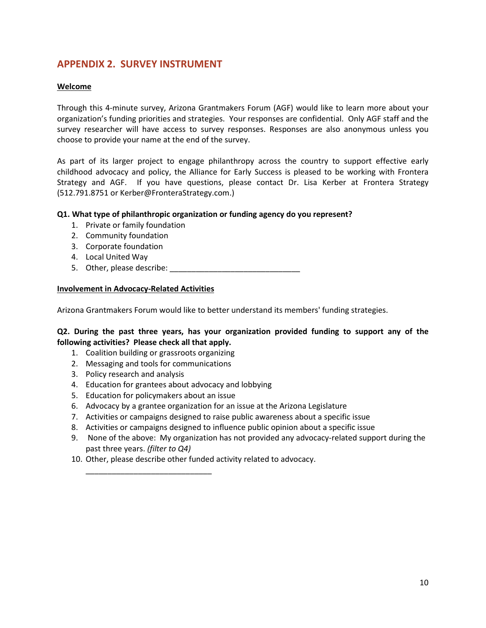## **APPENDIX 2. SURVEY INSTRUMENT**

#### **Welcome**

Through this 4-minute survey, Arizona Grantmakers Forum (AGF) would like to learn more about your organization's funding priorities and strategies. Your responses are confidential. Only AGF staff and the survey researcher will have access to survey responses. Responses are also anonymous unless you choose to provide your name at the end of the survey.

As part of its larger project to engage philanthropy across the country to support effective early childhood advocacy and policy, the Alliance for Early Success is pleased to be working with Frontera Strategy and AGF. If you have questions, please contact Dr. Lisa Kerber at Frontera Strategy (512.791.8751 or Kerber@FronteraStrategy.com.)

#### **Q1. What type of philanthropic organization or funding agency do you represent?**

- 1. Private or family foundation
- 2. Community foundation
- 3. Corporate foundation
- 4. Local United Way
- 5. Other, please describe:  $\blacksquare$

#### **Involvement in Advocacy-Related Activities**

Arizona Grantmakers Forum would like to better understand its members' funding strategies.

#### **Q2. During the past three years, has your organization provided funding to support any of the following activities? Please check all that apply.**

- 1. Coalition building or grassroots organizing
- 2. Messaging and tools for communications
- 3. Policy research and analysis
- 4. Education for grantees about advocacy and lobbying
- 5. Education for policymakers about an issue

\_\_\_\_\_\_\_\_\_\_\_\_\_\_\_\_\_\_\_\_\_\_\_\_\_\_\_\_\_

- 6. Advocacy by a grantee organization for an issue at the Arizona Legislature
- 7. Activities or campaigns designed to raise public awareness about a specific issue
- 8. Activities or campaigns designed to influence public opinion about a specific issue
- 9. None of the above: My organization has not provided any advocacy-related support during the past three years. *(filter to Q4)*
- 10. Other, please describe other funded activity related to advocacy.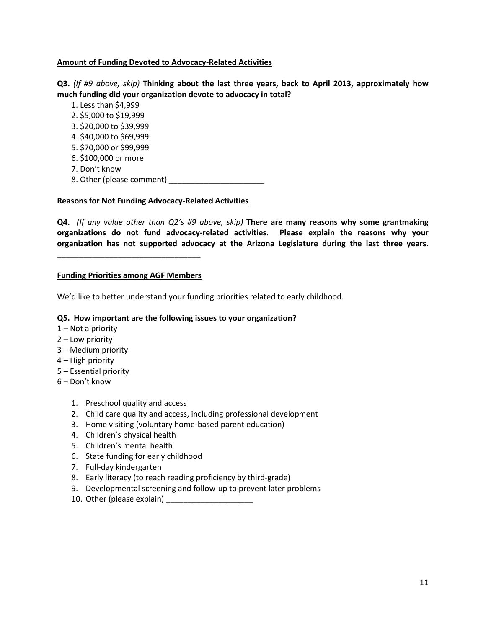#### **Amount of Funding Devoted to Advocacy-Related Activities**

**Q3.** *(If #9 above, skip)* **Thinking about the last three years, back to April 2013, approximately how much funding did your organization devote to advocacy in total?**

- 1. Less than \$4,999
- 2. \$5,000 to \$19,999
- 3. \$20,000 to \$39,999
- 4. \$40,000 to \$69,999
- 5. \$70,000 or \$99,999
- 6. \$100,000 or more
- 7. Don't know
- 8. Other (please comment) \_\_\_\_\_\_\_\_\_\_\_\_\_\_\_\_\_\_\_\_\_\_

#### **Reasons for Not Funding Advocacy-Related Activities**

**Q4.** *(If any value other than Q2's #9 above, skip)* **There are many reasons why some grantmaking organizations do not fund advocacy-related activities. Please explain the reasons why your organization has not supported advocacy at the Arizona Legislature during the last three years.** 

#### **Funding Priorities among AGF Members**

\_\_\_\_\_\_\_\_\_\_\_\_\_\_\_\_\_\_\_\_\_\_\_\_\_\_\_\_\_\_\_\_\_

We'd like to better understand your funding priorities related to early childhood.

#### **Q5. How important are the following issues to your organization?**

- 1 Not a priority
- 2 Low priority
- 3 Medium priority
- 4 High priority
- 5 Essential priority
- 6 Don't know
	- 1. Preschool quality and access
	- 2. Child care quality and access, including professional development
	- 3. Home visiting (voluntary home-based parent education)
	- 4. Children's physical health
	- 5. Children's mental health
	- 6. State funding for early childhood
	- 7. Full-day kindergarten
	- 8. Early literacy (to reach reading proficiency by third-grade)
	- 9. Developmental screening and follow-up to prevent later problems
	- 10. Other (please explain)